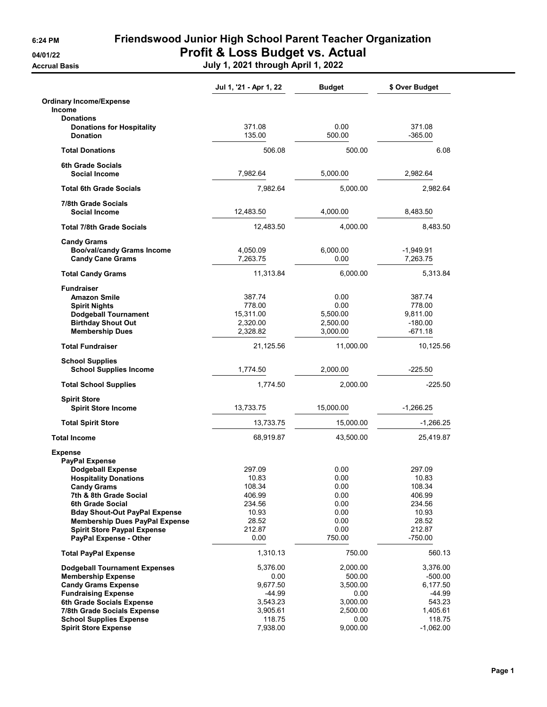## 6:24 PM Friendswood Junior High School Parent Teacher Organization 04/01/22 **Profit & Loss Budget vs. Actual**

Accrual Basis July 1, 2021 through April 1, 2022

|                                                         | Jul 1, '21 - Apr 1, 22 | <b>Budget</b> | \$ Over Budget   |
|---------------------------------------------------------|------------------------|---------------|------------------|
| <b>Ordinary Income/Expense</b>                          |                        |               |                  |
| <b>Income</b>                                           |                        |               |                  |
| <b>Donations</b><br><b>Donations for Hospitality</b>    | 371.08                 | 0.00          | 371.08           |
| <b>Donation</b>                                         | 135.00                 | 500.00        | $-365.00$        |
| <b>Total Donations</b>                                  | 506.08                 | 500.00        | 6.08             |
| 6th Grade Socials                                       |                        |               |                  |
| <b>Social Income</b>                                    | 7,982.64               | 5,000.00      | 2,982.64         |
| <b>Total 6th Grade Socials</b>                          | 7,982.64               | 5,000.00      | 2,982.64         |
| 7/8th Grade Socials                                     |                        |               |                  |
| <b>Social Income</b>                                    | 12,483.50              | 4,000.00      | 8,483.50         |
| <b>Total 7/8th Grade Socials</b>                        | 12,483.50              | 4,000.00      | 8,483.50         |
| <b>Candy Grams</b>                                      |                        |               |                  |
| <b>Boo/val/candy Grams Income</b>                       | 4,050.09               | 6,000.00      | -1,949.91        |
| <b>Candy Cane Grams</b>                                 | 7.263.75               | 0.00          | 7.263.75         |
| <b>Total Candy Grams</b>                                | 11,313.84              | 6,000.00      | 5,313.84         |
| <b>Fundraiser</b>                                       |                        |               |                  |
| <b>Amazon Smile</b>                                     | 387.74                 | 0.00          | 387.74           |
| <b>Spirit Nights</b>                                    | 778.00                 | 0.00          | 778.00           |
| <b>Dodgeball Tournament</b>                             | 15,311.00              | 5,500.00      | 9,811.00         |
| <b>Birthday Shout Out</b>                               | 2,320.00               | 2.500.00      | $-180.00$        |
| <b>Membership Dues</b>                                  | 2,328.82               | 3,000.00      | $-671.18$        |
| <b>Total Fundraiser</b>                                 | 21,125.56              | 11,000.00     | 10,125.56        |
| <b>School Supplies</b><br><b>School Supplies Income</b> | 1,774.50               | 2,000.00      | $-225.50$        |
|                                                         |                        |               |                  |
| <b>Total School Supplies</b>                            | 1,774.50               | 2,000.00      | $-225.50$        |
| <b>Spirit Store</b>                                     |                        |               |                  |
| <b>Spirit Store Income</b>                              | 13,733.75              | 15,000.00     | $-1,266.25$      |
| <b>Total Spirit Store</b>                               | 13,733.75              | 15,000.00     | $-1,266.25$      |
| <b>Total Income</b>                                     | 68,919.87              | 43,500.00     | 25,419.87        |
| <b>Expense</b>                                          |                        |               |                  |
| <b>PayPal Expense</b>                                   |                        |               |                  |
| <b>Dodgeball Expense</b>                                | 297.09                 | 0.00          | 297.09           |
| <b>Hospitality Donations</b>                            | 10.83                  | 0.00          | 10.83            |
| <b>Candy Grams</b>                                      | 108.34<br>406.99       | 0.00<br>0.00  | 108.34<br>406.99 |
| 7th & 8th Grade Social<br>6th Grade Social              | 234.56                 | 0.00          | 234.56           |
| <b>Bday Shout-Out PayPal Expense</b>                    | 10.93                  | 0.00          | 10.93            |
| <b>Membership Dues PayPal Expense</b>                   | 28.52                  | 0.00          | 28.52            |
| <b>Spirit Store Paypal Expense</b>                      | 212.87                 | 0.00          | 212.87           |
| PayPal Expense - Other                                  | 0.00                   | 750.00        | -750.00          |
| <b>Total PayPal Expense</b>                             | 1,310.13               | 750.00        | 560.13           |
| <b>Dodgeball Tournament Expenses</b>                    | 5,376.00               | 2,000.00      | 3,376.00         |
| <b>Membership Expense</b>                               | 0.00                   | 500.00        | $-500.00$        |
| <b>Candy Grams Expense</b>                              | 9,677.50               | 3,500.00      | 6,177.50         |
| <b>Fundraising Expense</b>                              | -44.99                 | 0.00          | -44.99           |
| 6th Grade Socials Expense                               | 3,543.23               | 3,000.00      | 543.23           |
| 7/8th Grade Socials Expense                             | 3,905.61               | 2,500.00      | 1,405.61         |
| <b>School Supplies Expense</b>                          | 118.75                 | 0.00          | 118.75           |
| <b>Spirit Store Expense</b>                             | 7,938.00               | 9,000.00      | $-1,062.00$      |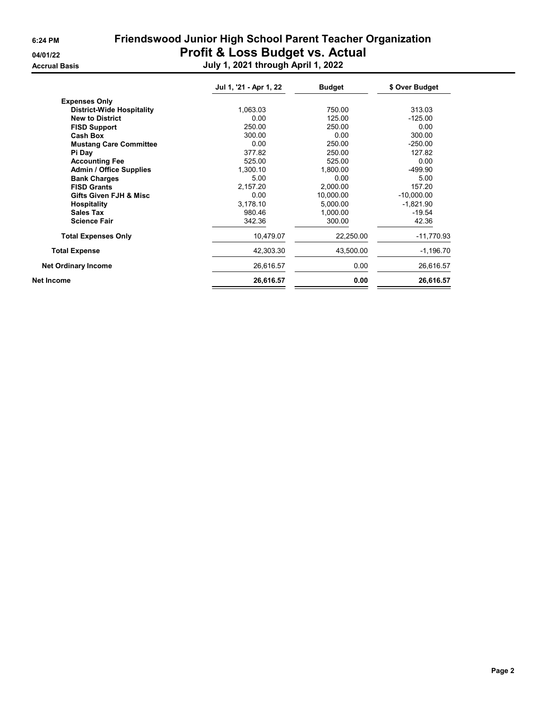**Accrual Basis** 

## 6:24 PM Friendswood Junior High School Parent Teacher Organization 04/01/22 Profit & Loss Budget vs. Actual

|  | July 1, 2021 through April 1, 2022 |  |  |  |  |
|--|------------------------------------|--|--|--|--|

|                                  | Jul 1, '21 - Apr 1, 22 | <b>Budget</b> | \$ Over Budget |
|----------------------------------|------------------------|---------------|----------------|
| <b>Expenses Only</b>             |                        |               |                |
| <b>District-Wide Hospitality</b> | 1,063.03               | 750.00        | 313.03         |
| <b>New to District</b>           | 0.00                   | 125.00        | $-125.00$      |
| <b>FISD Support</b>              | 250.00                 | 250.00        | 0.00           |
| Cash Box                         | 300.00                 | 0.00          | 300.00         |
| <b>Mustang Care Committee</b>    | 0.00                   | 250.00        | $-250.00$      |
| Pi Day                           | 377.82                 | 250.00        | 127.82         |
| <b>Accounting Fee</b>            | 525.00                 | 525.00        | 0.00           |
| <b>Admin / Office Supplies</b>   | 1.300.10               | 1.800.00      | $-499.90$      |
| <b>Bank Charges</b>              | 5.00                   | 0.00          | 5.00           |
| <b>FISD Grants</b>               | 2.157.20               | 2.000.00      | 157.20         |
| Gifts Given FJH & Misc           | 0.00                   | 10,000.00     | $-10,000.00$   |
| <b>Hospitality</b>               | 3,178.10               | 5,000.00      | $-1,821.90$    |
| <b>Sales Tax</b>                 | 980.46                 | 1,000.00      | $-19.54$       |
| <b>Science Fair</b>              | 342.36                 | 300.00        | 42.36          |
| <b>Total Expenses Only</b>       | 10,479.07              | 22,250.00     | $-11,770.93$   |
| <b>Total Expense</b>             | 42,303.30              | 43,500.00     | $-1,196.70$    |
| <b>Net Ordinary Income</b>       | 26,616.57              | 0.00          | 26,616.57      |
| Net Income                       | 26,616.57              | 0.00          | 26,616.57      |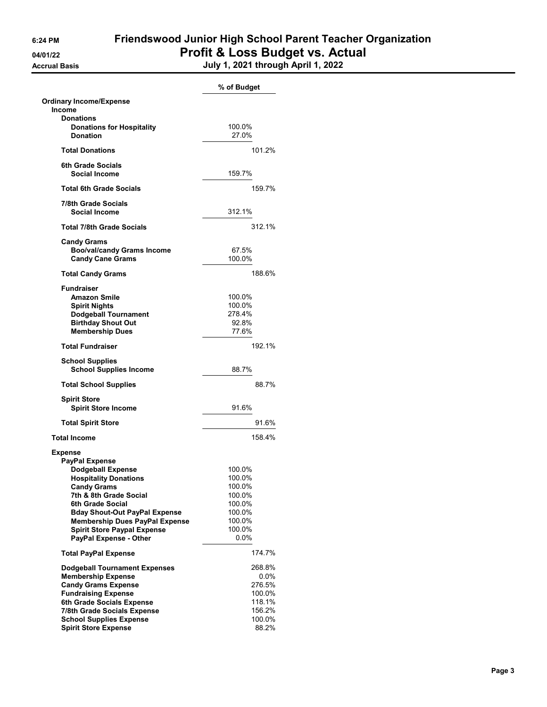**Accrual Basis** 

## 6:24 PM Friendswood Junior High School Parent Teacher Organization 04/01/22 Profit & Loss Budget vs. Actual

|  |  | July 1, 2021 through April 1, 2022 |  |  |  |
|--|--|------------------------------------|--|--|--|
|--|--|------------------------------------|--|--|--|

|                                                          | % of Budget      |  |
|----------------------------------------------------------|------------------|--|
| <b>Ordinary Income/Expense</b>                           |                  |  |
| <b>Income</b>                                            |                  |  |
| <b>Donations</b>                                         |                  |  |
| <b>Donations for Hospitality</b>                         | 100.0%           |  |
| <b>Donation</b>                                          | 27.0%            |  |
| <b>Total Donations</b>                                   | 101.2%           |  |
| 6th Grade Socials                                        |                  |  |
| Social Income                                            | 159.7%           |  |
| <b>Total 6th Grade Socials</b>                           | 159.7%           |  |
| 7/8th Grade Socials                                      |                  |  |
| <b>Social Income</b>                                     | 312.1%           |  |
| <b>Total 7/8th Grade Socials</b>                         | 312.1%           |  |
|                                                          |                  |  |
| <b>Candy Grams</b><br><b>Boo/val/candy Grams Income</b>  | 67.5%            |  |
| <b>Candy Cane Grams</b>                                  | 100.0%           |  |
|                                                          |                  |  |
| <b>Total Candy Grams</b>                                 | 188.6%           |  |
| <b>Fundraiser</b>                                        |                  |  |
| <b>Amazon Smile</b>                                      | 100.0%           |  |
| <b>Spirit Nights</b>                                     | 100.0%           |  |
| <b>Dodgeball Tournament</b>                              | 278.4%           |  |
| <b>Birthday Shout Out</b>                                | 92.8%            |  |
| <b>Membership Dues</b>                                   | 77.6%            |  |
| <b>Total Fundraiser</b>                                  | 192.1%           |  |
| <b>School Supplies</b>                                   |                  |  |
| <b>School Supplies Income</b>                            | 88.7%            |  |
| <b>Total School Supplies</b>                             | 88.7%            |  |
| <b>Spirit Store</b>                                      |                  |  |
| <b>Spirit Store Income</b>                               | 91.6%            |  |
| <b>Total Spirit Store</b>                                | 91.6%            |  |
| <b>Total Income</b>                                      | 158.4%           |  |
|                                                          |                  |  |
| Expense                                                  |                  |  |
| <b>PayPal Expense</b>                                    |                  |  |
| <b>Dodgeball Expense</b>                                 | 100.0%           |  |
| <b>Hospitality Donations</b>                             | 100.0%           |  |
| <b>Candy Grams</b>                                       | 100.0%           |  |
| 7th & 8th Grade Social                                   | 100.0%           |  |
| 6th Grade Social<br><b>Bday Shout-Out PayPal Expense</b> | 100.0%<br>100.0% |  |
| <b>Membership Dues PayPal Expense</b>                    | 100.0%           |  |
| <b>Spirit Store Paypal Expense</b>                       | 100.0%           |  |
| PayPal Expense - Other                                   | 0.0%             |  |
|                                                          |                  |  |
| <b>Total PayPal Expense</b>                              | 174.7%           |  |
| <b>Dodgeball Tournament Expenses</b>                     | 268.8%           |  |
| <b>Membership Expense</b>                                | $0.0\%$          |  |
| <b>Candy Grams Expense</b>                               | 276.5%           |  |
| <b>Fundraising Expense</b>                               | 100.0%           |  |
| 6th Grade Socials Expense                                | 118.1%           |  |
| 7/8th Grade Socials Expense                              | 156.2%           |  |
| <b>School Supplies Expense</b>                           | 100.0%           |  |
| <b>Spirit Store Expense</b>                              | 88.2%            |  |